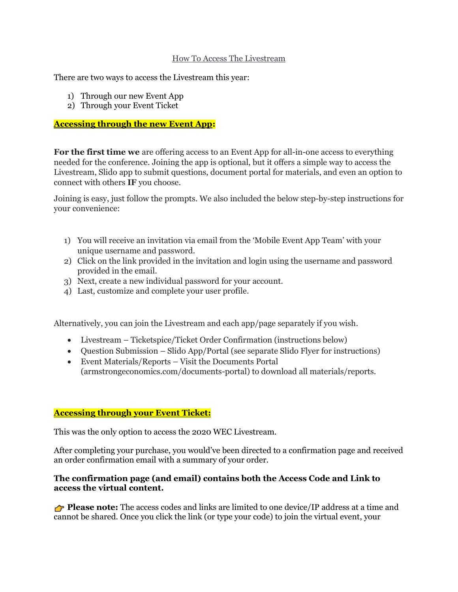#### How To Access The Livestream

There are two ways to access the Livestream this year:

- 1) Through our new Event App
- 2) Through your Event Ticket

## **Accessing through the new Event App:**

**For the first time we** are offering access to an Event App for all-in-one access to everything needed for the conference. Joining the app is optional, but it offers a simple way to access the Livestream, Slido app to submit questions, document portal for materials, and even an option to connect with others **IF** you choose.

Joining is easy, just follow the prompts. We also included the below step-by-step instructions for your convenience:

- 1) You will receive an invitation via email from the 'Mobile Event App Team' with your unique username and password.
- 2) Click on the link provided in the invitation and login using the username and password provided in the email.
- 3) Next, create a new individual password for your account.
- 4) Last, customize and complete your user profile.

Alternatively, you can join the Livestream and each app/page separately if you wish.

- Livestream Ticketspice/Ticket Order Confirmation (instructions below)
- Question Submission Slido App/Portal (see separate Slido Flyer for instructions)
- Event Materials/Reports Visit the Documents Portal (armstrongeconomics.com/documents-portal) to download all materials/reports.

## **Accessing through your Event Ticket:**

This was the only option to access the 2020 WEC Livestream.

After completing your purchase, you would've been directed to a confirmation page and received an order confirmation email with a summary of your order.

#### **The confirmation page (and email) contains both the Access Code and Link to access the virtual content.**

**Please note:** The access codes and links are limited to one device/IP address at a time and cannot be shared. Once you click the link (or type your code) to join the virtual event, your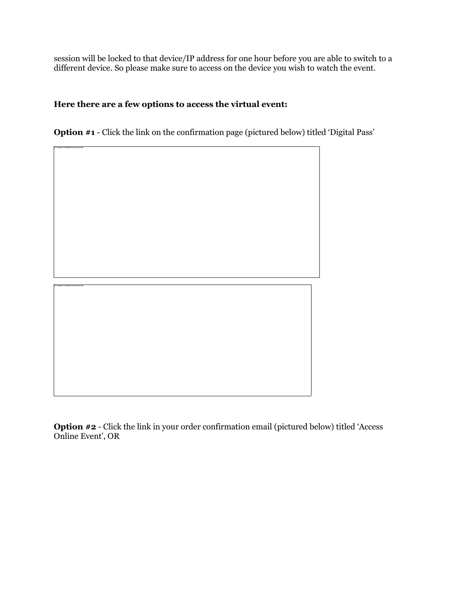session will be locked to that device/IP address for one hour before you are able to switch to a different device. So please make sure to access on the device you wish to watch the event.

# **Here there are a few options to access the virtual event:**

**Option #1** - Click the link on the confirmation page (pictured below) titled 'Digital Pass'



**Option #2** - Click the link in your order confirmation email (pictured below) titled 'Access Online Event', OR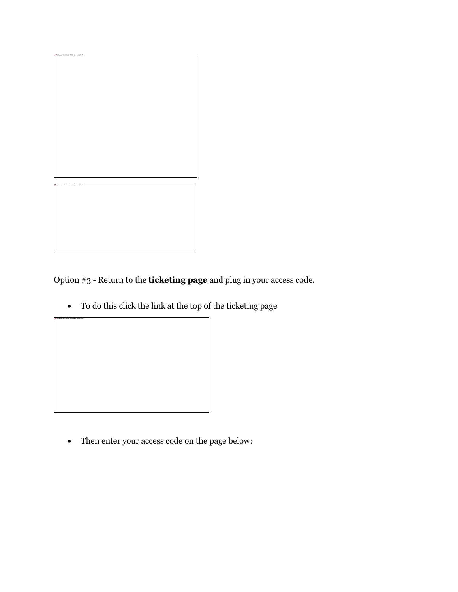

Option #3 - Return to the **[ticketing page](https://armstrongeconomics.ticketspice.com/2020-world-economic-conference-us)** and plug in your access code.

• To do this click the link at the top of the ticketing page



• Then enter your access code on the page below: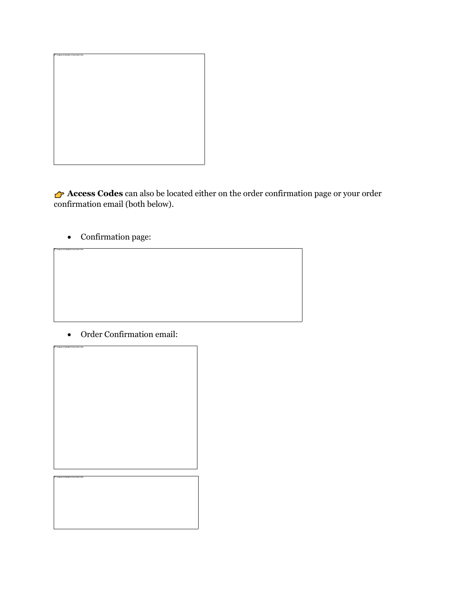

**Access Codes** can also be located either on the order confirmation page or your order confirmation email (both below).

• Confirmation page:

• Order Confirmation email: